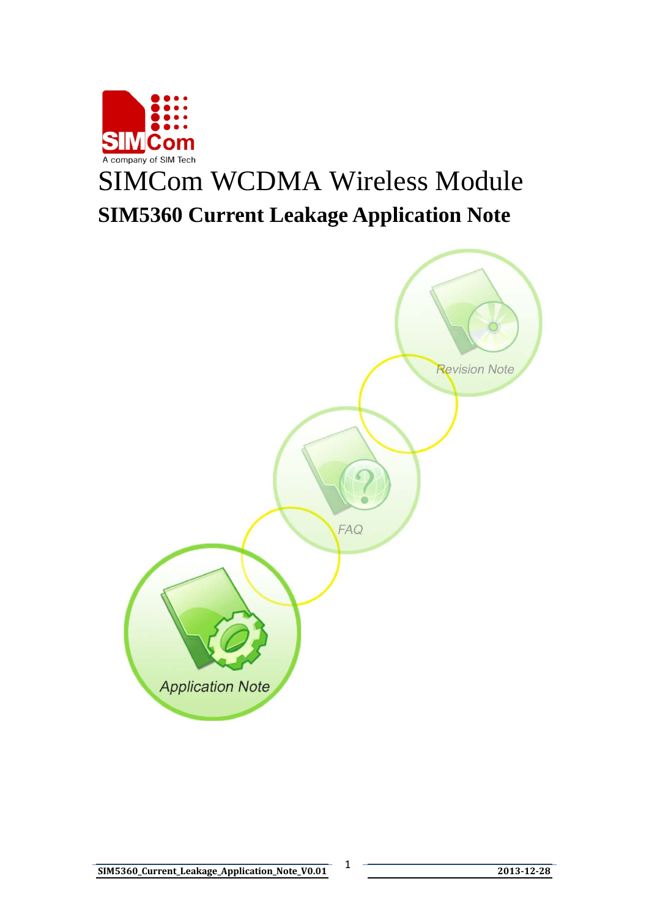

# SIMCom WCDMA Wireless Module **SIM5360 Current Leakage Application Note**

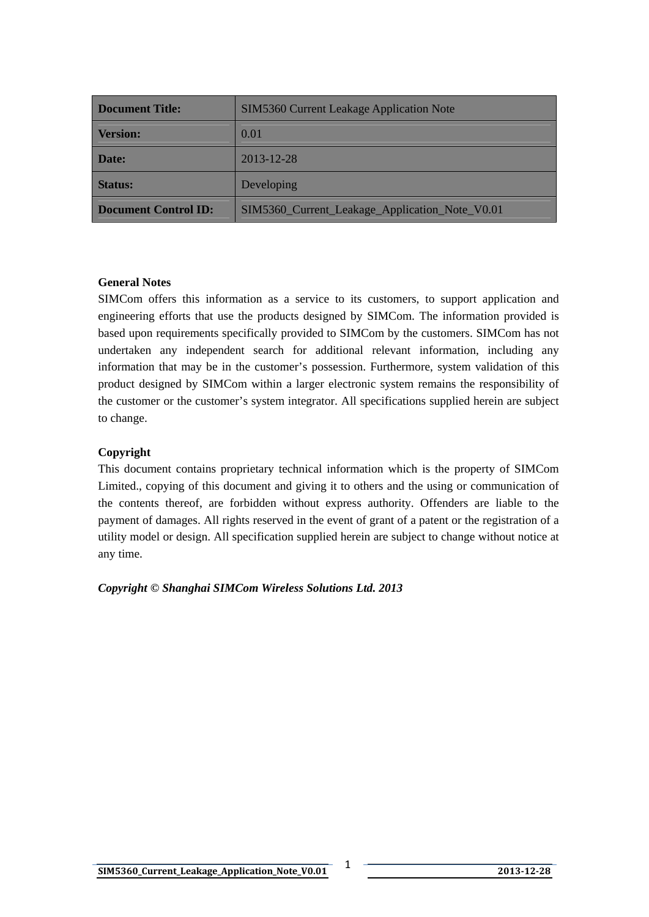| <b>Document Title:</b>      | SIM5360 Current Leakage Application Note       |  |
|-----------------------------|------------------------------------------------|--|
| <b>Version:</b>             | 0.01                                           |  |
| Date:                       | $2013 - 12 - 28$                               |  |
| <b>Status:</b>              | Developing                                     |  |
| <b>Document Control ID:</b> | SIM5360_Current_Leakage_Application_Note_V0.01 |  |

#### **General Notes**

SIMCom offers this information as a service to its customers, to support application and engineering efforts that use the products designed by SIMCom. The information provided is based upon requirements specifically provided to SIMCom by the customers. SIMCom has not undertaken any independent search for additional relevant information, including any information that may be in the customer's possession. Furthermore, system validation of this product designed by SIMCom within a larger electronic system remains the responsibility of the customer or the customer's system integrator. All specifications supplied herein are subject to change.

#### **Copyright**

This document contains proprietary technical information which is the property of SIMCom Limited., copying of this document and giving it to others and the using or communication of the contents thereof, are forbidden without express authority. Offenders are liable to the payment of damages. All rights reserved in the event of grant of a patent or the registration of a utility model or design. All specification supplied herein are subject to change without notice at any time.

*Copyright © Shanghai SIMCom Wireless Solutions Ltd. 2013*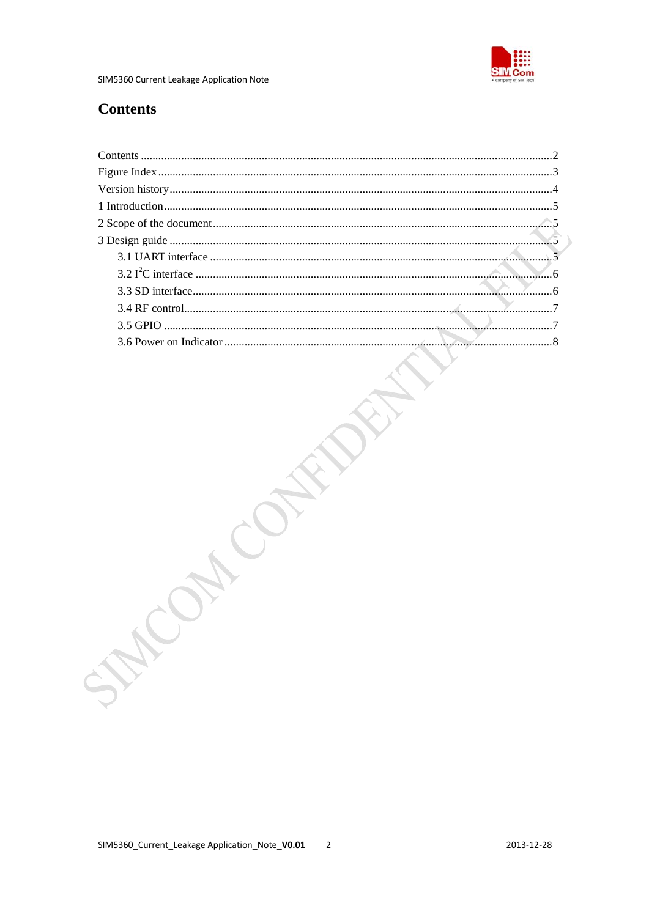

## <span id="page-2-0"></span>**Contents**

|  | SMA |  |
|--|-----|--|
|  |     |  |
|  |     |  |
|  |     |  |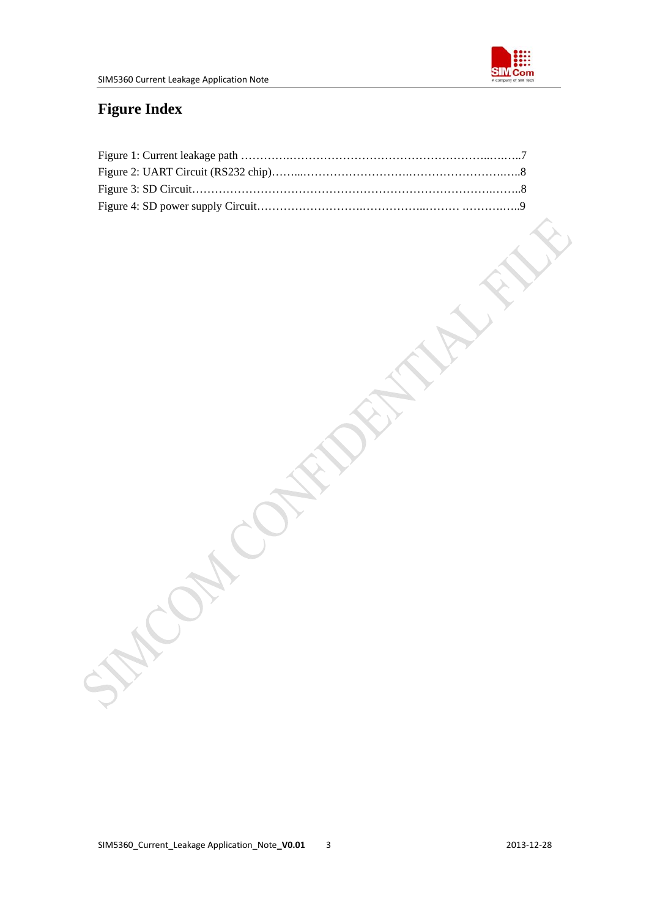

## <span id="page-3-0"></span>**Figure Index**

| Ill |  |
|-----|--|
|     |  |
|     |  |
|     |  |
|     |  |
|     |  |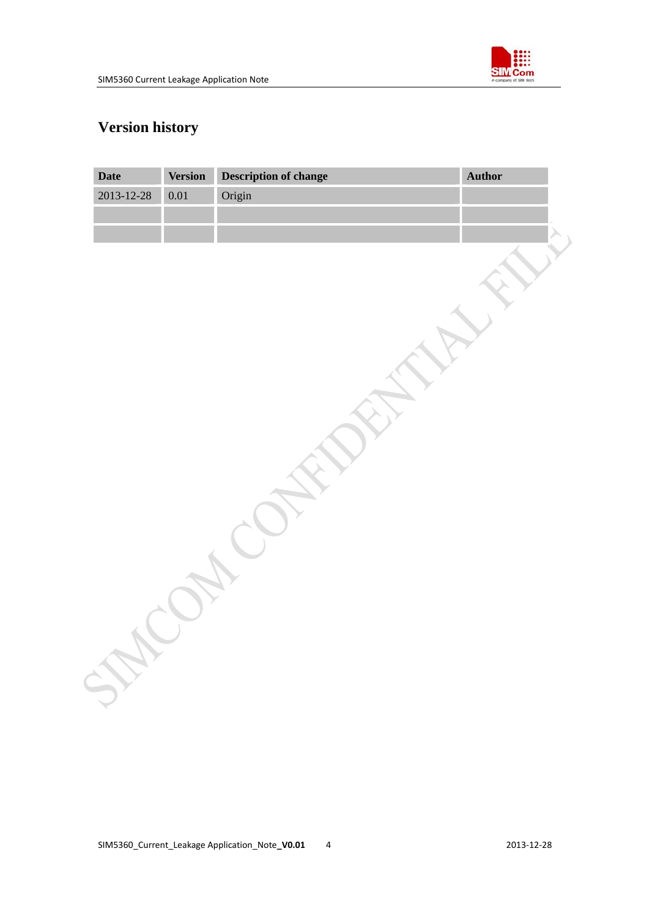

## <span id="page-4-0"></span>**Version history**

| <b>Date</b> | <b>Version</b> | Description of change | Author |
|-------------|----------------|-----------------------|--------|
| 2013-12-28  | 0.01           | Origin                |        |
|             |                |                       |        |
|             |                |                       |        |
|             |                |                       |        |
|             |                |                       |        |
|             |                |                       |        |
|             |                |                       |        |
|             |                |                       |        |
|             |                |                       |        |
|             |                |                       |        |
|             |                |                       |        |
|             |                |                       |        |
|             |                |                       |        |
|             |                |                       |        |
|             |                |                       |        |
|             |                |                       |        |
|             |                |                       |        |
|             |                |                       |        |
|             |                |                       |        |
|             |                |                       |        |
|             |                |                       |        |
|             |                |                       |        |
|             |                |                       |        |
|             |                |                       |        |
|             |                |                       |        |
|             |                |                       |        |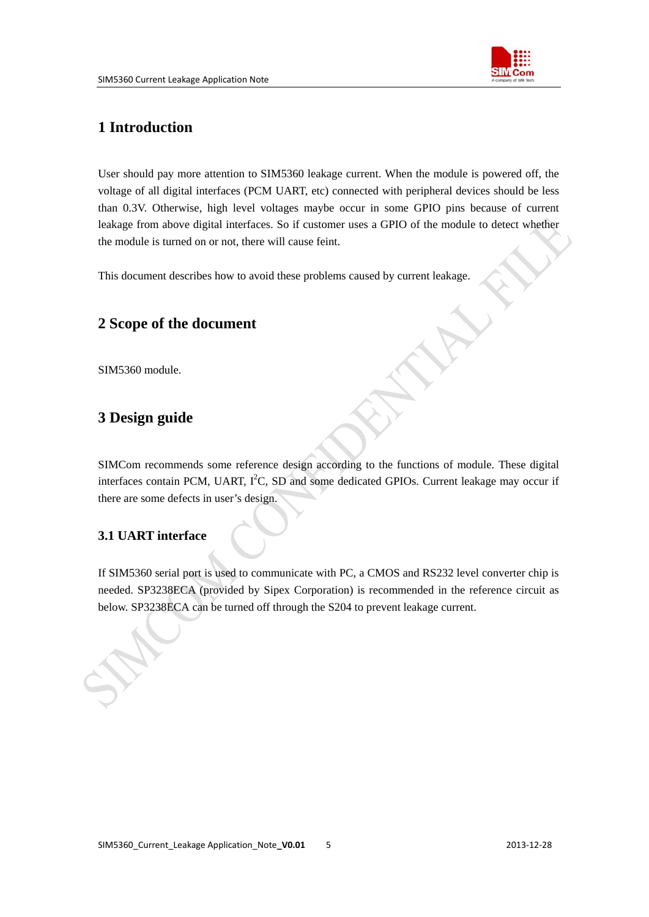

## <span id="page-5-0"></span>**1 Introduction**

User should pay more attention to SIM5360 leakage current. When the module is powered off, the voltage of all digital interfaces (PCM UART, etc) connected with peripheral devices should be less than 0.3V. Otherwise, high level voltages maybe occur in some GPIO pins because of current leakage from above digital interfaces. So if customer uses a GPIO of the module to detect whether the module is turned on or not, there will cause feint.

This document describes how to avoid these problems caused by current leakage.

## **2 Scope of the document**

SIM5360 module.

## **3 Design guide**

SIMCom recommends some reference design according to the functions of module. These digital interfaces contain PCM, UART,  $I^2C$ , SD and some dedicated GPIOs. Current leakage may occur if there are some defects in user's design.

## **3.1 UART interface**

If SIM5360 serial port is used to communicate with PC, a CMOS and RS232 level converter chip is needed. SP3238ECA (provided by Sipex Corporation) is recommended in the reference circuit as below. SP3238ECA can be turned off through the S204 to prevent leakage current.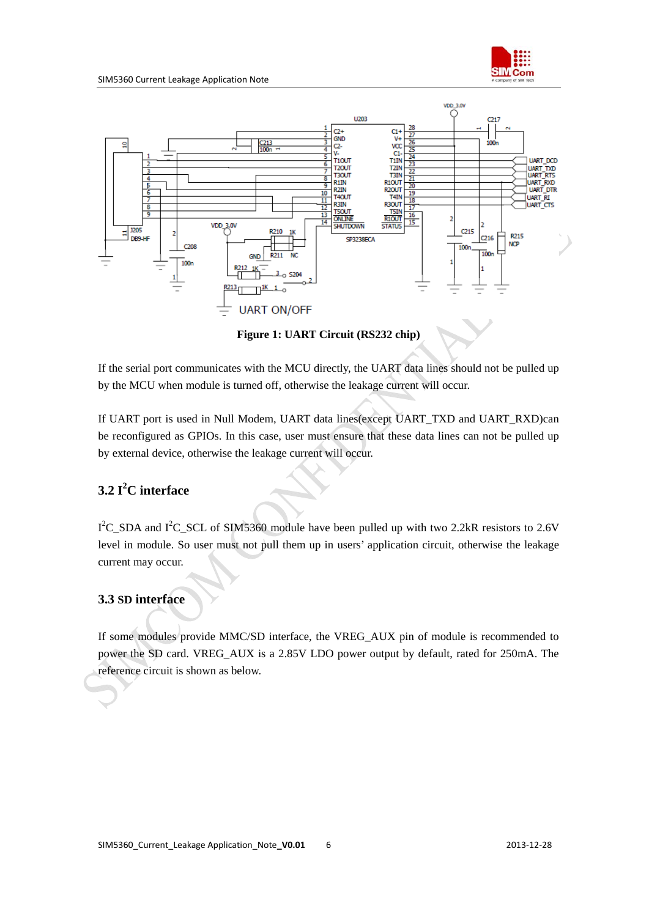

<span id="page-6-0"></span>

**Figure 1: UART Circuit (RS232 chip)** 

If the serial port communicates with the MCU directly, the UART data lines should not be pulled up by the MCU when module is turned off, otherwise the leakage current will occur.

If UART port is used in Null Modem, UART data lines(except UART\_TXD and UART\_RXD)can be reconfigured as GPIOs. In this case, user must ensure that these data lines can not be pulled up by external device, otherwise the leakage current will occur.

## **3.2 I<sup>2</sup> C interface**

 $I^2C$ \_SDA and  $I^2C$ \_SCL of SIM5360 module have been pulled up with two 2.2kR resistors to 2.6V level in module. So user must not pull them up in users' application circuit, otherwise the leakage current may occur.

## **3.3 SD interface**

If some modules provide MMC/SD interface, the VREG\_AUX pin of module is recommended to power the SD card. VREG\_AUX is a 2.85V LDO power output by default, rated for 250mA. The reference circuit is shown as below.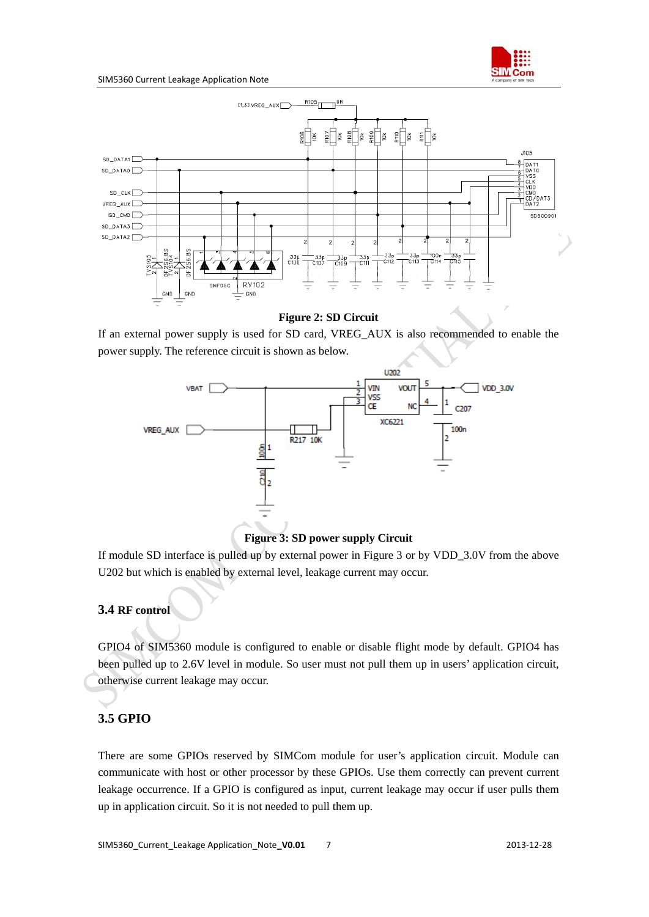

#### <span id="page-7-0"></span>SIM5360 Current Leakage Application Note



#### **Figure 2: SD Circuit**

If an external power supply is used for SD card, VREG\_AUX is also recommended to enable the power supply. The reference circuit is shown as below.



**Figure 3: SD power supply Circuit** 

If module SD interface is pulled up by external power in Figure 3 or by VDD\_3.0V from the above U202 but which is enabled by external level, leakage current may occur.

#### **3.4 RF control**

GPIO4 of SIM5360 module is configured to enable or disable flight mode by default. GPIO4 has been pulled up to 2.6V level in module. So user must not pull them up in users' application circuit, otherwise current leakage may occur.

#### **3.5 GPIO**

There are some GPIOs reserved by SIMCom module for user's application circuit. Module can communicate with host or other processor by these GPIOs. Use them correctly can prevent current leakage occurrence. If a GPIO is configured as input, current leakage may occur if user pulls them up in application circuit. So it is not needed to pull them up.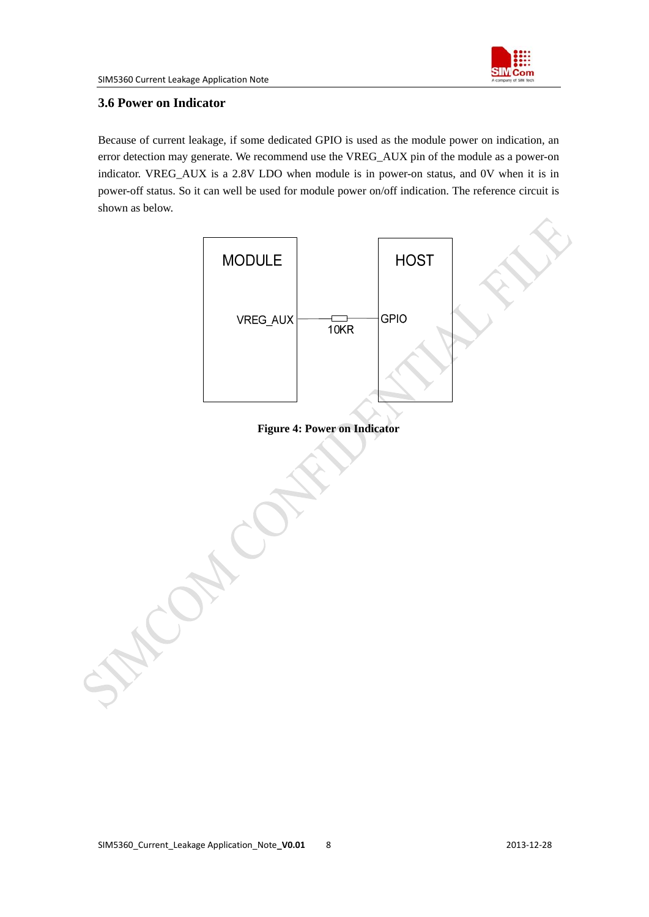

### <span id="page-8-0"></span>**3.6 Power on Indicator**

Because of current leakage, if some dedicated GPIO is used as the module power on indication, an error detection may generate. We recommend use the VREG\_AUX pin of the module as a power-on indicator. VREG\_AUX is a 2.8V LDO when module is in power-on status, and 0V when it is in power-off status. So it can well be used for module power on/off indication. The reference circuit is shown as below.



#### **Figure 4: Power on Indicator**